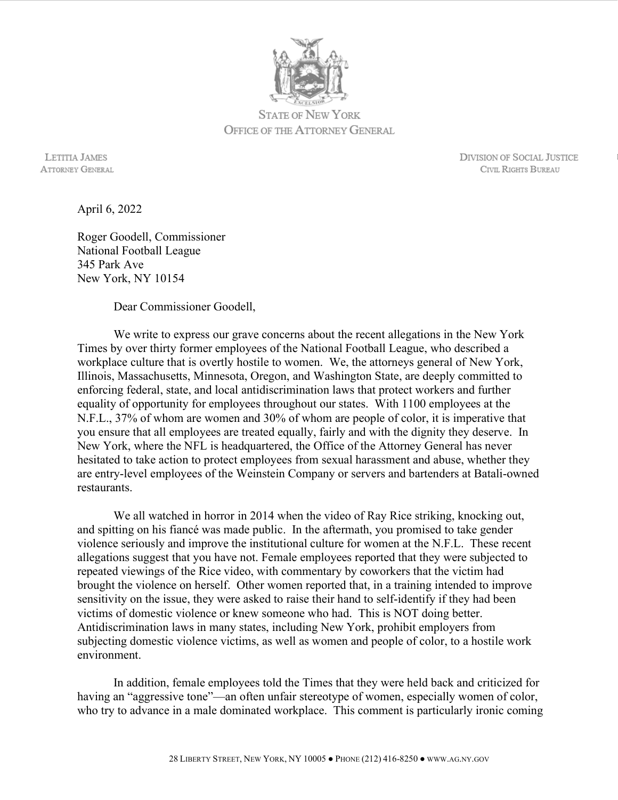

STATE OF NEW YORK OFFICE OF THE ATTORNEY GENERAL

 LETITIA JAMES DIVISION OF SOCIAL JUSTICE ATTORNEY GENERAL CIVIL RIGHTS BUREAU

April 6, 2022

Roger Goodell, Commissioner National Football League 345 Park Ave New York, NY 10154

Dear Commissioner Goodell,

 We write to express our grave concerns about the recent allegations in the New York Times by over thirty former employees of the National Football League, who described a workplace culture that is overtly hostile to women. We, the attorneys general of New York, Illinois, Massachusetts, Minnesota, Oregon, and Washington State, are deeply committed to enforcing federal, state, and local antidiscrimination laws that protect workers and further equality of opportunity for employees throughout our states. With 1100 employees at the N.F.L., 37% of whom are women and 30% of whom are people of color, it is imperative that you ensure that all employees are treated equally, fairly and with the dignity they deserve. In New York, where the NFL is headquartered, the Office of the Attorney General has never hesitated to take action to protect employees from sexual harassment and abuse, whether they are entry-level employees of the Weinstein Company or servers and bartenders at Batali-owned restaurants.

We all watched in horror in 2014 when the video of Ray Rice striking, knocking out, and spitting on his fiancé was made public. In the aftermath, you promised to take gender violence seriously and improve the institutional culture for women at the N.F.L. These recent allegations suggest that you have not. Female employees reported that they were subjected to repeated viewings of the Rice video, with commentary by coworkers that the victim had brought the violence on herself. Other women reported that, in a training intended to improve sensitivity on the issue, they were asked to raise their hand to self-identify if they had been victims of domestic violence or knew someone who had. This is NOT doing better. Antidiscrimination laws in many states, including New York, prohibit employers from subjecting domestic violence victims, as well as women and people of color, to a hostile work environment.

In addition, female employees told the Times that they were held back and criticized for having an "aggressive tone"—an often unfair stereotype of women, especially women of color, who try to advance in a male dominated workplace. This comment is particularly ironic coming